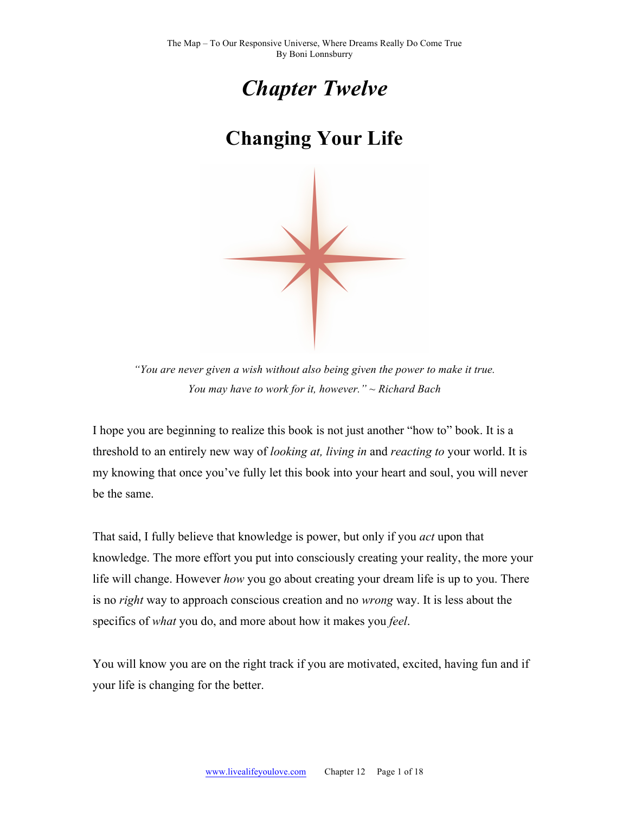

# **Changing Your Life**



*"You are never given a wish without also being given the power to make it true. You may have to work for it, however." ~ Richard Bach*

I hope you are beginning to realize this book is not just another "how to" book. It is a threshold to an entirely new way of *looking at, living in* and *reacting to* your world. It is my knowing that once you've fully let this book into your heart and soul, you will never be the same.

That said, I fully believe that knowledge is power, but only if you *act* upon that knowledge. The more effort you put into consciously creating your reality, the more your life will change. However *how* you go about creating your dream life is up to you. There is no *right* way to approach conscious creation and no *wrong* way. It is less about the specifics of *what* you do, and more about how it makes you *feel*.

You will know you are on the right track if you are motivated, excited, having fun and if your life is changing for the better.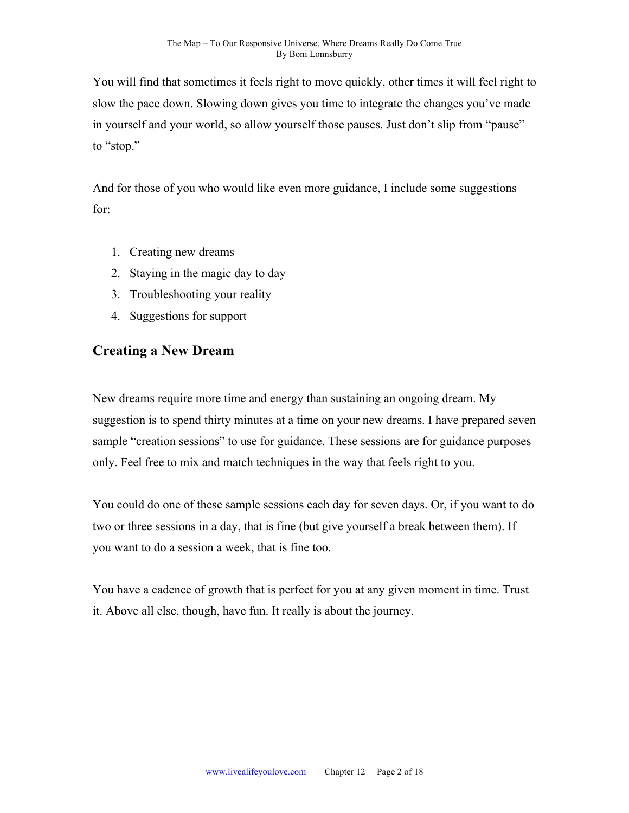You will find that sometimes it feels right to move quickly, other times it will feel right to slow the pace down. Slowing down gives you time to integrate the changes you've made in yourself and your world, so allow yourself those pauses. Just don't slip from "pause" to "stop."

And for those of you who would like even more guidance, I include some suggestions for:

- 1. Creating new dreams
- 2. Staying in the magic day to day
- 3. Troubleshooting your reality
- 4. Suggestions for support

#### **Creating a New Dream**

New dreams require more time and energy than sustaining an ongoing dream. My suggestion is to spend thirty minutes at a time on your new dreams. I have prepared seven sample "creation sessions" to use for guidance. These sessions are for guidance purposes only. Feel free to mix and match techniques in the way that feels right to you.

You could do one of these sample sessions each day for seven days. Or, if you want to do two or three sessions in a day, that is fine (but give yourself a break between them). If you want to do a session a week, that is fine too.

You have a cadence of growth that is perfect for you at any given moment in time. Trust it. Above all else, though, have fun. It really is about the journey.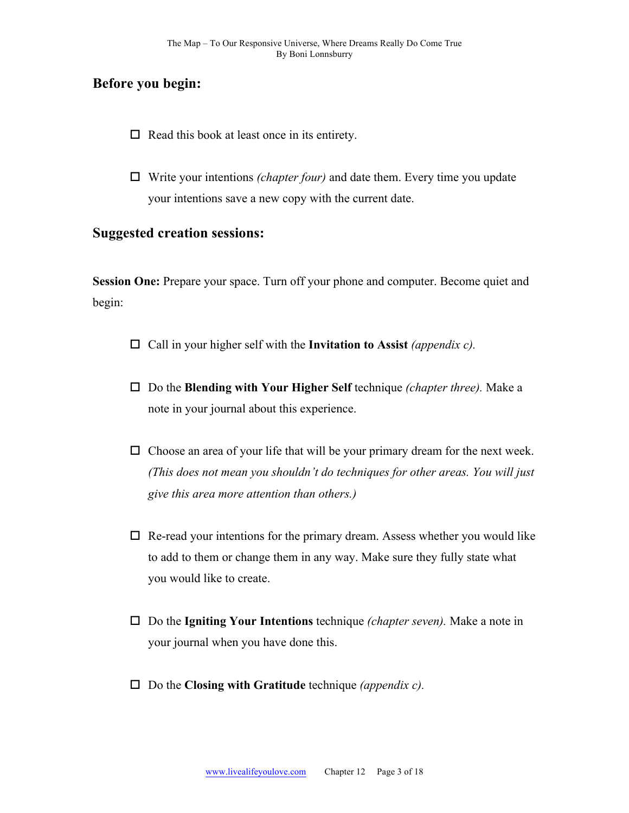#### **Before you begin:**

- $\Box$  Read this book at least once in its entirety.
- $\Box$  Write your intentions *(chapter four)* and date them. Every time you update your intentions save a new copy with the current date.

# **Suggested creation sessions:**

**Session One:** Prepare your space. Turn off your phone and computer. Become quiet and begin:

- $\Box$  Call in your higher self with the **Invitation to Assist** *(appendix c)*.
- □ Do the **Blending with Your Higher Self** technique *(chapter three)*. Make a note in your journal about this experience.
- $\Box$  Choose an area of your life that will be your primary dream for the next week. *(This does not mean you shouldn't do techniques for other areas. You will just give this area more attention than others.)*
- $\Box$  Re-read your intentions for the primary dream. Assess whether you would like to add to them or change them in any way. Make sure they fully state what you would like to create.
- □ Do the **Igniting Your Intentions** technique *(chapter seven)*. Make a note in your journal when you have done this.
- □ Do the **Closing with Gratitude** technique *(appendix c)*.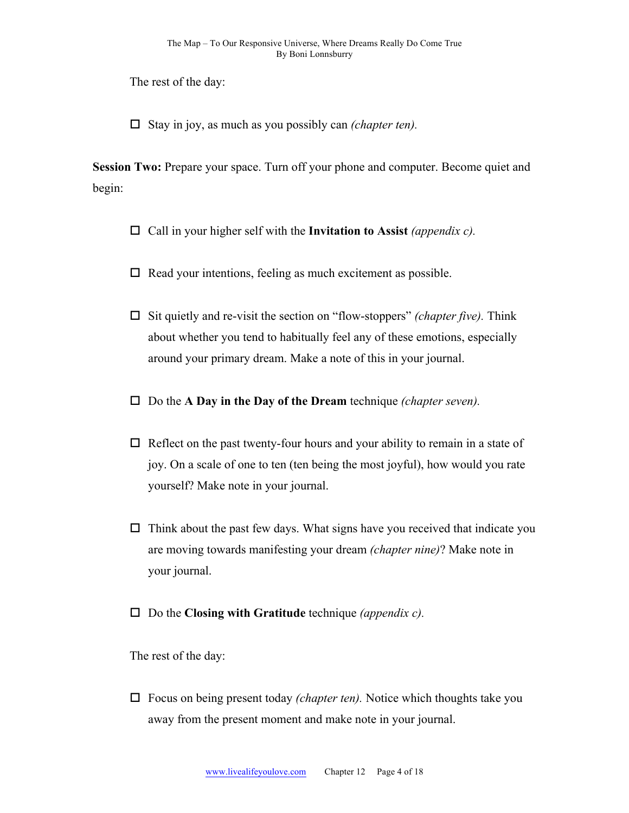The rest of the day:

 $\Box$  Stay in joy, as much as you possibly can *(chapter ten)*.

**Session Two:** Prepare your space. Turn off your phone and computer. Become quiet and begin:

- $\Box$  Call in your higher self with the **Invitation to Assist** *(appendix c)*.
- $\Box$  Read your intentions, feeling as much excitement as possible.
- $\Box$  Sit quietly and re-visit the section on "flow-stoppers" *(chapter five)*. Think about whether you tend to habitually feel any of these emotions, especially around your primary dream. Make a note of this in your journal.
- $\Box$  Do the **A Day in the Day of the Dream** technique *(chapter seven)*.
- $\Box$  Reflect on the past twenty-four hours and your ability to remain in a state of joy. On a scale of one to ten (ten being the most joyful), how would you rate yourself? Make note in your journal.
- $\Box$  Think about the past few days. What signs have you received that indicate you are moving towards manifesting your dream *(chapter nine)*? Make note in your journal.
- □ Do the **Closing with Gratitude** technique *(appendix c)*.

The rest of the day:

 $\Box$  Focus on being present today *(chapter ten)*. Notice which thoughts take you away from the present moment and make note in your journal.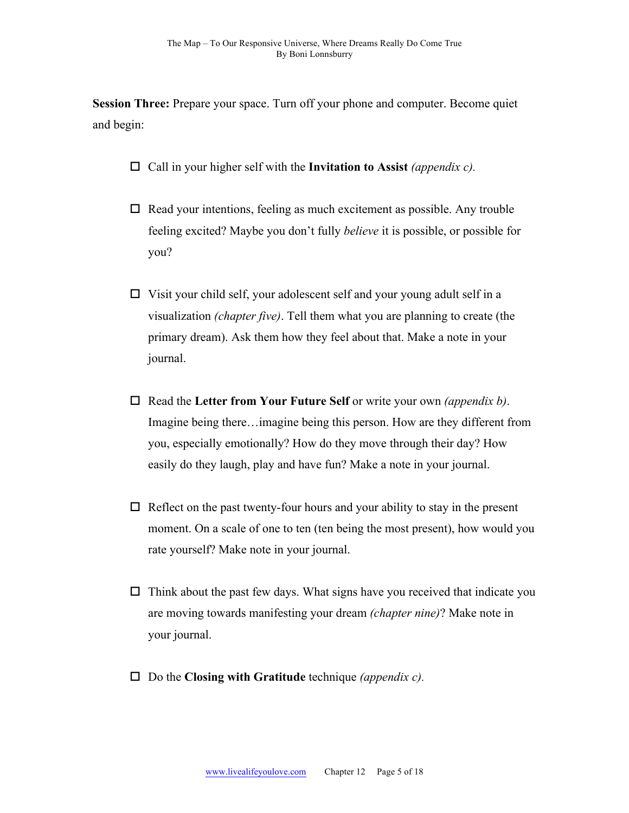**Session Three:** Prepare your space. Turn off your phone and computer. Become quiet and begin:

- $\Box$  Call in your higher self with the **Invitation to Assist** *(appendix c)*.
- $\Box$  Read your intentions, feeling as much excitement as possible. Any trouble feeling excited? Maybe you don't fully *believe* it is possible, or possible for you?
- $\Box$  Visit your child self, your adolescent self and your young adult self in a visualization *(chapter five)*. Tell them what you are planning to create (the primary dream). Ask them how they feel about that. Make a note in your journal.
- □ Read the Letter from Your Future Self or write your own *(appendix b)*. Imagine being there…imagine being this person. How are they different from you, especially emotionally? How do they move through their day? How easily do they laugh, play and have fun? Make a note in your journal.
- $\Box$  Reflect on the past twenty-four hours and your ability to stay in the present moment. On a scale of one to ten (ten being the most present), how would you rate yourself? Make note in your journal.
- $\Box$  Think about the past few days. What signs have you received that indicate you are moving towards manifesting your dream *(chapter nine)*? Make note in your journal.
- □ Do the **Closing with Gratitude** technique *(appendix c)*.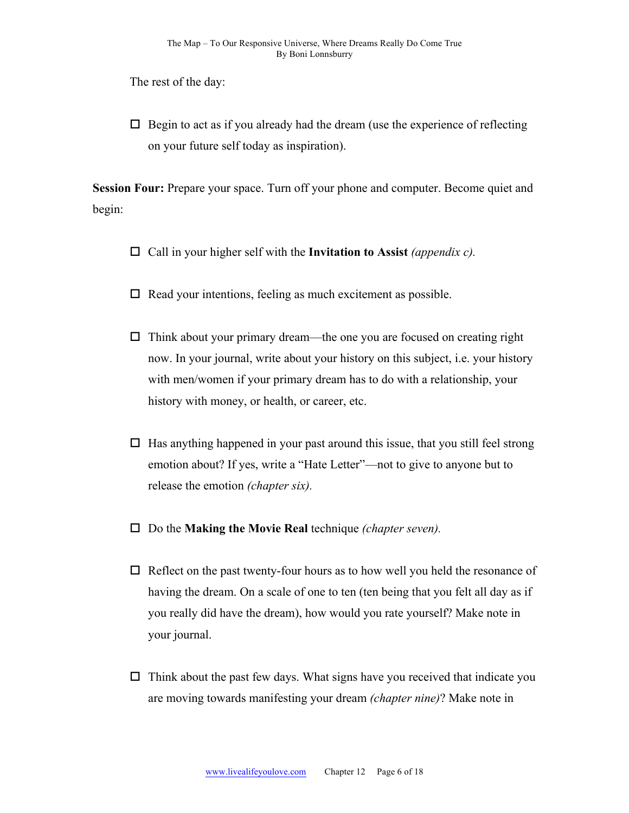The rest of the day:

 $\Box$  Begin to act as if you already had the dream (use the experience of reflecting on your future self today as inspiration).

**Session Four:** Prepare your space. Turn off your phone and computer. Become quiet and begin:

- $\Box$  Call in your higher self with the **Invitation to Assist** *(appendix c)*.
- $\Box$  Read your intentions, feeling as much excitement as possible.
- $\Box$  Think about your primary dream—the one you are focused on creating right now. In your journal, write about your history on this subject, i.e. your history with men/women if your primary dream has to do with a relationship, your history with money, or health, or career, etc.
- $\Box$  Has anything happened in your past around this issue, that you still feel strong emotion about? If yes, write a "Hate Letter"—not to give to anyone but to release the emotion *(chapter six).*
- $\Box$  Do the **Making the Movie Real** technique *(chapter seven)*.
- $\Box$  Reflect on the past twenty-four hours as to how well you held the resonance of having the dream. On a scale of one to ten (ten being that you felt all day as if you really did have the dream), how would you rate yourself? Make note in your journal.
- $\Box$  Think about the past few days. What signs have you received that indicate you are moving towards manifesting your dream *(chapter nine)*? Make note in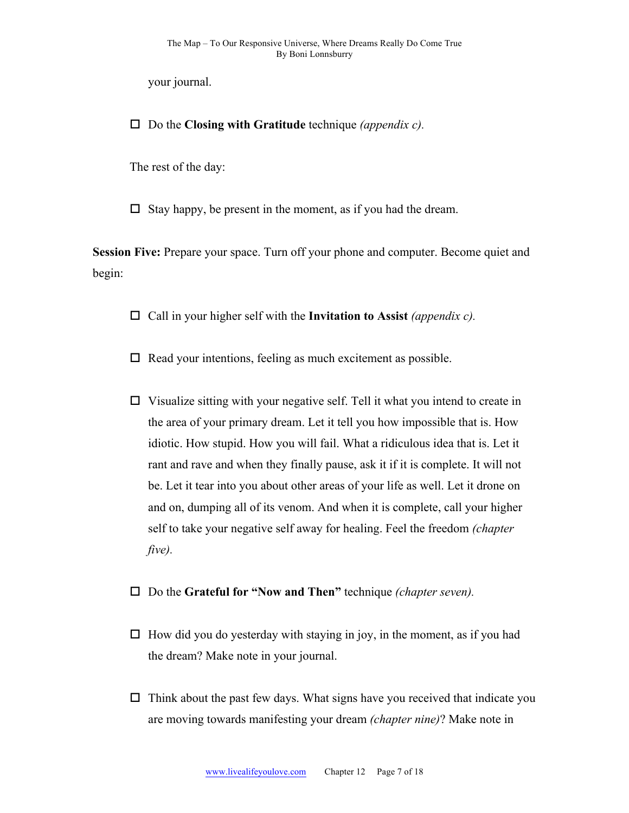your journal.

□ Do the **Closing with Gratitude** technique *(appendix c)*.

The rest of the day:

 $\Box$  Stay happy, be present in the moment, as if you had the dream.

**Session Five:** Prepare your space. Turn off your phone and computer. Become quiet and begin:

 $\Box$  Call in your higher self with the **Invitation to Assist** *(appendix c)*.

 $\Box$  Read your intentions, feeling as much excitement as possible.

- $\Box$  Visualize sitting with your negative self. Tell it what you intend to create in the area of your primary dream. Let it tell you how impossible that is. How idiotic. How stupid. How you will fail. What a ridiculous idea that is. Let it rant and rave and when they finally pause, ask it if it is complete. It will not be. Let it tear into you about other areas of your life as well. Let it drone on and on, dumping all of its venom. And when it is complete, call your higher self to take your negative self away for healing. Feel the freedom *(chapter five).*
- □ Do the Grateful for "Now and Then" *technique (chapter seven)*.
- $\Box$  How did you do yesterday with staying in joy, in the moment, as if you had the dream? Make note in your journal.
- $\Box$  Think about the past few days. What signs have you received that indicate you are moving towards manifesting your dream *(chapter nine)*? Make note in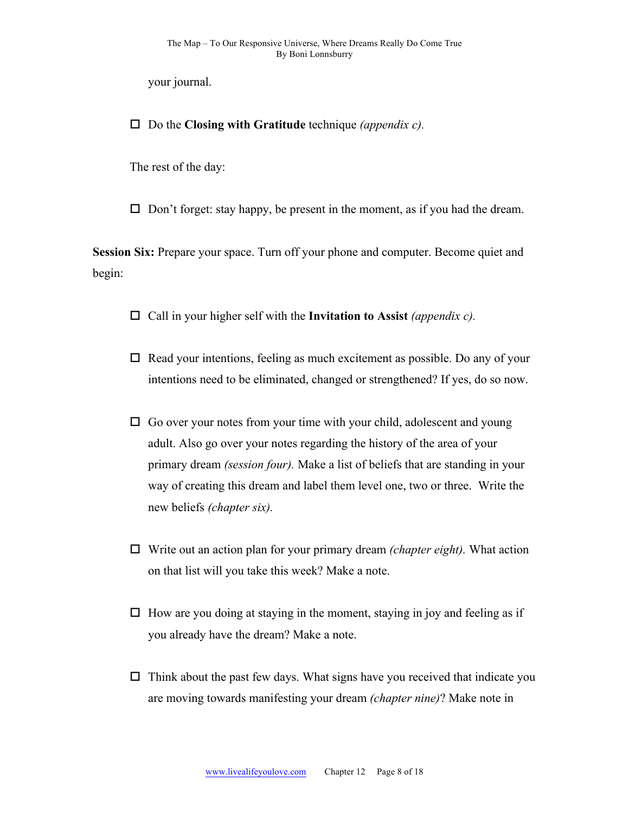your journal.

 $\Box$  Do the **Closing with Gratitude** technique *(appendix c)*.

The rest of the day:

 $\Box$  Don't forget: stay happy, be present in the moment, as if you had the dream.

**Session Six:** Prepare your space. Turn off your phone and computer. Become quiet and begin:

- $\Box$  Call in your higher self with the **Invitation to Assist** *(appendix c)*.
- $\Box$  Read your intentions, feeling as much excitement as possible. Do any of your intentions need to be eliminated, changed or strengthened? If yes, do so now.
- $\Box$  Go over your notes from your time with your child, adolescent and young adult. Also go over your notes regarding the history of the area of your primary dream *(session four).* Make a list of beliefs that are standing in your way of creating this dream and label them level one, two or three. Write the new beliefs *(chapter six).*
- $\Box$  Write out an action plan for your primary dream *(chapter eight)*. What action on that list will you take this week? Make a note.
- $\Box$  How are you doing at staying in the moment, staying in joy and feeling as if you already have the dream? Make a note.
- $\Box$  Think about the past few days. What signs have you received that indicate you are moving towards manifesting your dream *(chapter nine)*? Make note in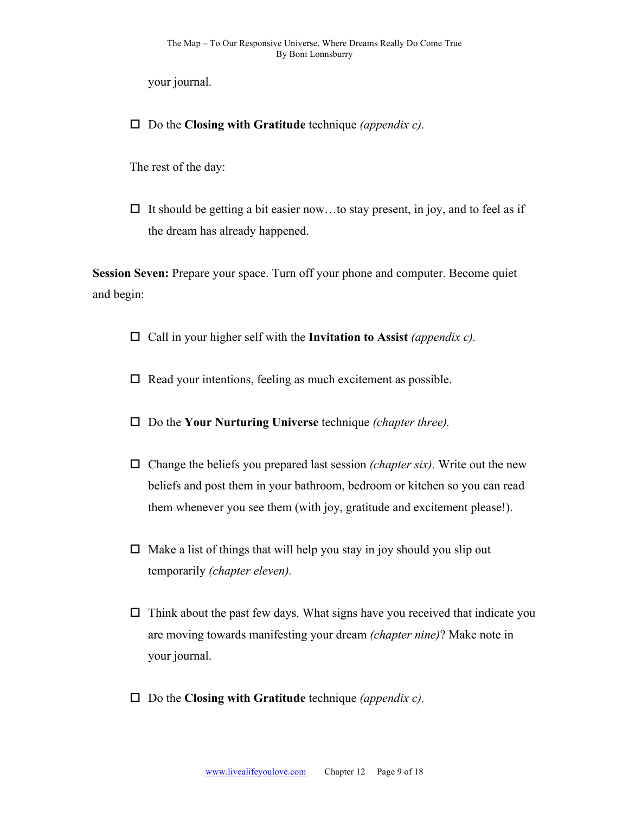your journal.

 $\Box$  Do the **Closing with Gratitude** technique *(appendix c)*.

The rest of the day:

 $\Box$  It should be getting a bit easier now...to stay present, in joy, and to feel as if the dream has already happened.

**Session Seven:** Prepare your space. Turn off your phone and computer. Become quiet and begin:

- $\Box$  Call in your higher self with the **Invitation to Assist** *(appendix c)*.
- $\Box$  Read your intentions, feeling as much excitement as possible.
- □ Do the **Your Nurturing Universe** technique *(chapter three).*
- $\Box$  Change the beliefs you prepared last session *(chapter six)*. Write out the new beliefs and post them in your bathroom, bedroom or kitchen so you can read them whenever you see them (with joy, gratitude and excitement please!).
- $\Box$  Make a list of things that will help you stay in joy should you slip out temporarily *(chapter eleven).*
- $\Box$  Think about the past few days. What signs have you received that indicate you are moving towards manifesting your dream *(chapter nine)*? Make note in your journal.
- $\Box$  Do the **Closing with Gratitude** technique *(appendix c)*.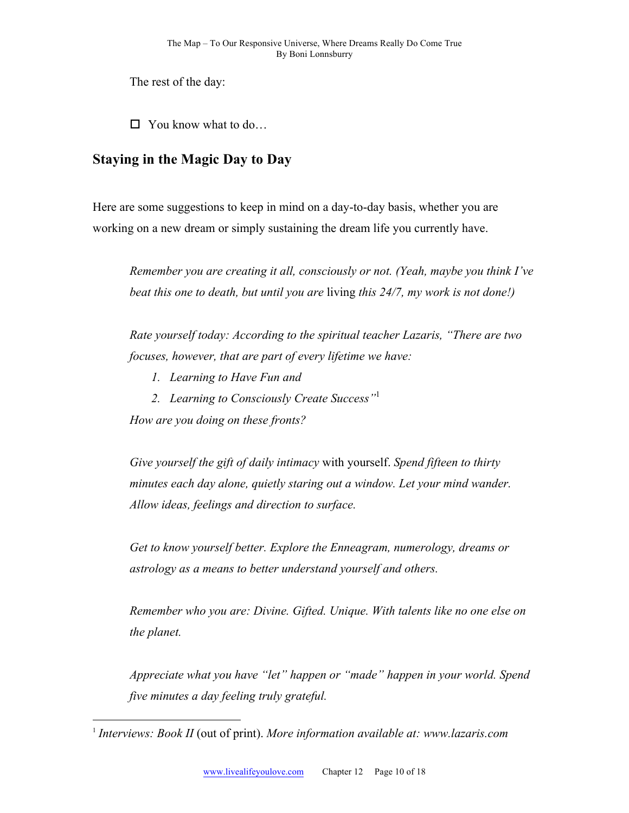The rest of the day:

 $\Box$  You know what to do...

# **Staying in the Magic Day to Day**

Here are some suggestions to keep in mind on a day-to-day basis, whether you are working on a new dream or simply sustaining the dream life you currently have.

*Remember you are creating it all, consciously or not. (Yeah, maybe you think I've beat this one to death, but until you are* living *this 24/7, my work is not done!)*

*Rate yourself today: According to the spiritual teacher Lazaris, "There are two focuses, however, that are part of every lifetime we have:*

- *1. Learning to Have Fun and*
- *2. Learning to Consciously Create Success"*<sup>1</sup>

*How are you doing on these fronts?*

*Give yourself the gift of daily intimacy* with yourself. *Spend fifteen to thirty minutes each day alone, quietly staring out a window. Let your mind wander. Allow ideas, feelings and direction to surface.*

*Get to know yourself better. Explore the Enneagram, numerology, dreams or astrology as a means to better understand yourself and others.* 

*Remember who you are: Divine. Gifted. Unique. With talents like no one else on the planet.*

*Appreciate what you have "let" happen or "made" happen in your world. Spend five minutes a day feeling truly grateful.*

 <sup>1</sup> *Interviews: Book II* (out of print). *More information available at: www.lazaris.com*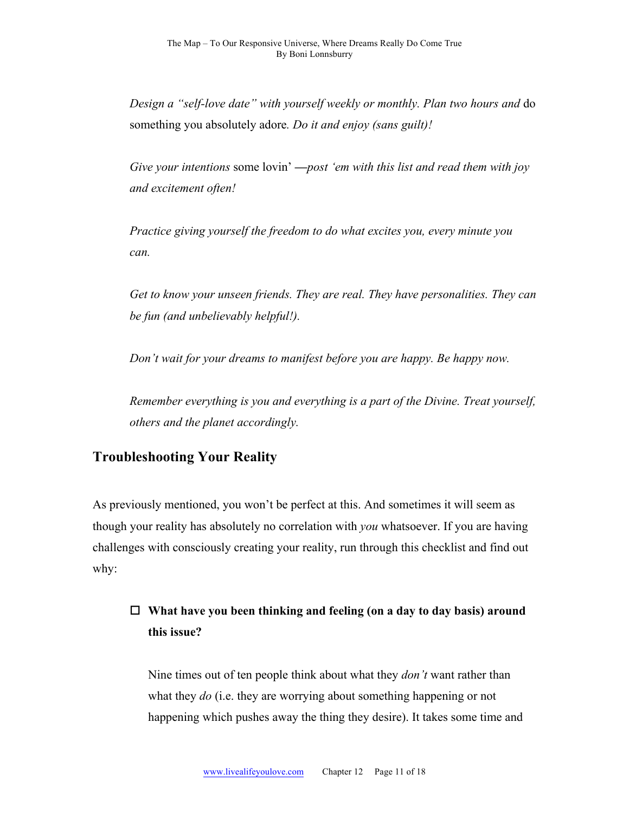*Design a "self-love date" with yourself weekly or monthly. Plan two hours and* do something you absolutely adore*. Do it and enjoy (sans guilt)!*

*Give your intentions* some lovin' **—***post 'em with this list and read them with joy and excitement often!*

*Practice giving yourself the freedom to do what excites you, every minute you can.* 

*Get to know your unseen friends. They are real. They have personalities. They can be fun (and unbelievably helpful!).*

*Don't wait for your dreams to manifest before you are happy. Be happy now.* 

*Remember everything is you and everything is a part of the Divine. Treat yourself, others and the planet accordingly.*

# **Troubleshooting Your Reality**

As previously mentioned, you won't be perfect at this. And sometimes it will seem as though your reality has absolutely no correlation with *you* whatsoever. If you are having challenges with consciously creating your reality, run through this checklist and find out why:

# □ What have you been thinking and feeling (on a day to day basis) around **this issue?**

Nine times out of ten people think about what they *don't* want rather than what they *do* (i.e. they are worrying about something happening or not happening which pushes away the thing they desire). It takes some time and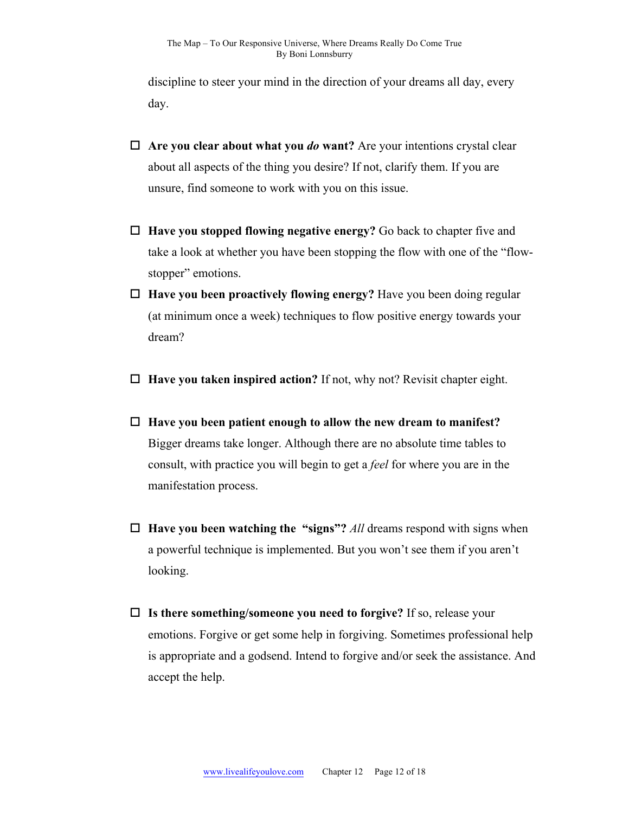discipline to steer your mind in the direction of your dreams all day, every day.

- $\Box$  Are you clear about what you *do* want? Are your intentions crystal clear about all aspects of the thing you desire? If not, clarify them. If you are unsure, find someone to work with you on this issue.
- □ **Have you stopped flowing negative energy?** Go back to chapter five and take a look at whether you have been stopping the flow with one of the "flowstopper" emotions.
- $\Box$  **Have you been proactively flowing energy?** Have you been doing regular (at minimum once a week) techniques to flow positive energy towards your dream?
- $\Box$  **Have you taken inspired action?** If not, why not? Revisit chapter eight.
- □ Have you been patient enough to allow the new dream to manifest? Bigger dreams take longer. Although there are no absolute time tables to consult, with practice you will begin to get a *feel* for where you are in the manifestation process.
- $\Box$  **Have you been watching the "signs"?** *All* dreams respond with signs when a powerful technique is implemented. But you won't see them if you aren't looking.
- □ Is there something/someone you need to forgive? If so, release your emotions. Forgive or get some help in forgiving. Sometimes professional help is appropriate and a godsend. Intend to forgive and/or seek the assistance. And accept the help.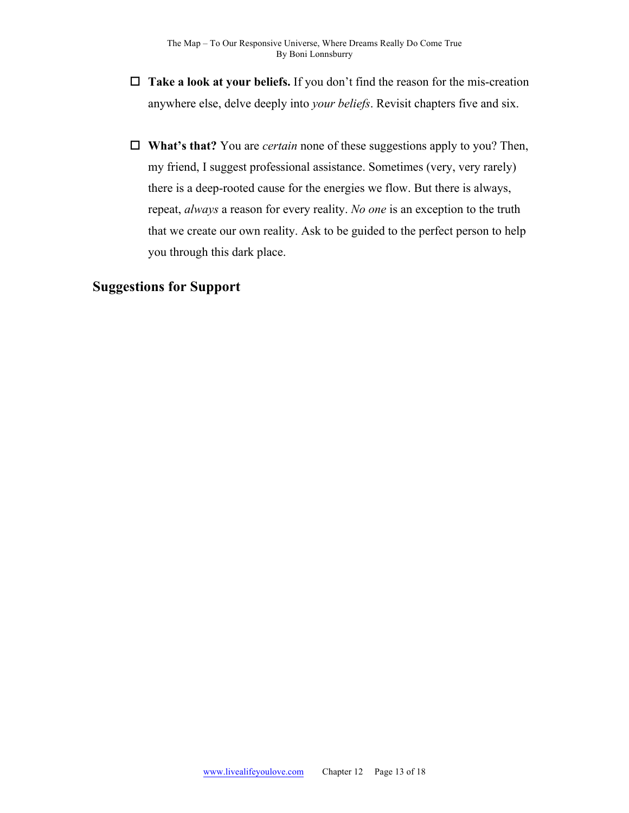- $\Box$  **Take a look at your beliefs.** If you don't find the reason for the mis-creation anywhere else, delve deeply into *your beliefs*. Revisit chapters five and six.
- □ **What's that?** You are *certain* none of these suggestions apply to you? Then, my friend, I suggest professional assistance. Sometimes (very, very rarely) there is a deep-rooted cause for the energies we flow. But there is always, repeat, *always* a reason for every reality. *No one* is an exception to the truth that we create our own reality. Ask to be guided to the perfect person to help you through this dark place.

## **Suggestions for Support**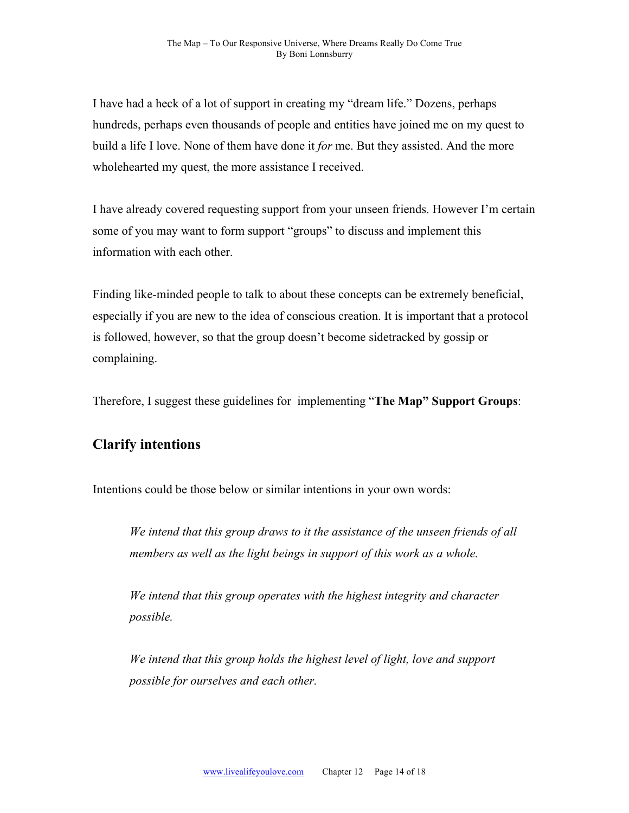I have had a heck of a lot of support in creating my "dream life." Dozens, perhaps hundreds, perhaps even thousands of people and entities have joined me on my quest to build a life I love. None of them have done it *for* me. But they assisted. And the more wholehearted my quest, the more assistance I received.

I have already covered requesting support from your unseen friends. However I'm certain some of you may want to form support "groups" to discuss and implement this information with each other.

Finding like-minded people to talk to about these concepts can be extremely beneficial, especially if you are new to the idea of conscious creation. It is important that a protocol is followed, however, so that the group doesn't become sidetracked by gossip or complaining.

Therefore, I suggest these guidelines for implementing "**The Map" Support Groups**:

#### **Clarify intentions**

Intentions could be those below or similar intentions in your own words:

*We intend that this group draws to it the assistance of the unseen friends of all members as well as the light beings in support of this work as a whole.*

*We intend that this group operates with the highest integrity and character possible.*

*We intend that this group holds the highest level of light, love and support possible for ourselves and each other.*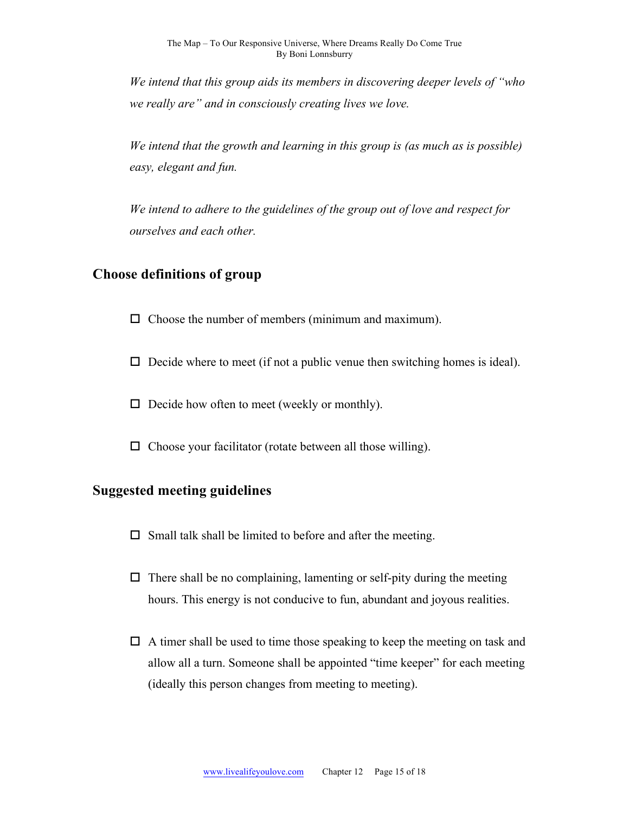*We intend that this group aids its members in discovering deeper levels of "who we really are" and in consciously creating lives we love.* 

*We intend that the growth and learning in this group is (as much as is possible) easy, elegant and fun.*

*We intend to adhere to the guidelines of the group out of love and respect for ourselves and each other.* 

## **Choose definitions of group**

 $\Box$  Choose the number of members (minimum and maximum).

 $\Box$  Decide where to meet (if not a public venue then switching homes is ideal).

 $\Box$  Decide how often to meet (weekly or monthly).

 $\Box$  Choose your facilitator (rotate between all those willing).

#### **Suggested meeting guidelines**

- $\square$  Small talk shall be limited to before and after the meeting.
- $\Box$  There shall be no complaining, lamenting or self-pity during the meeting hours. This energy is not conducive to fun, abundant and joyous realities.
- $\Box$  A timer shall be used to time those speaking to keep the meeting on task and allow all a turn. Someone shall be appointed "time keeper" for each meeting (ideally this person changes from meeting to meeting).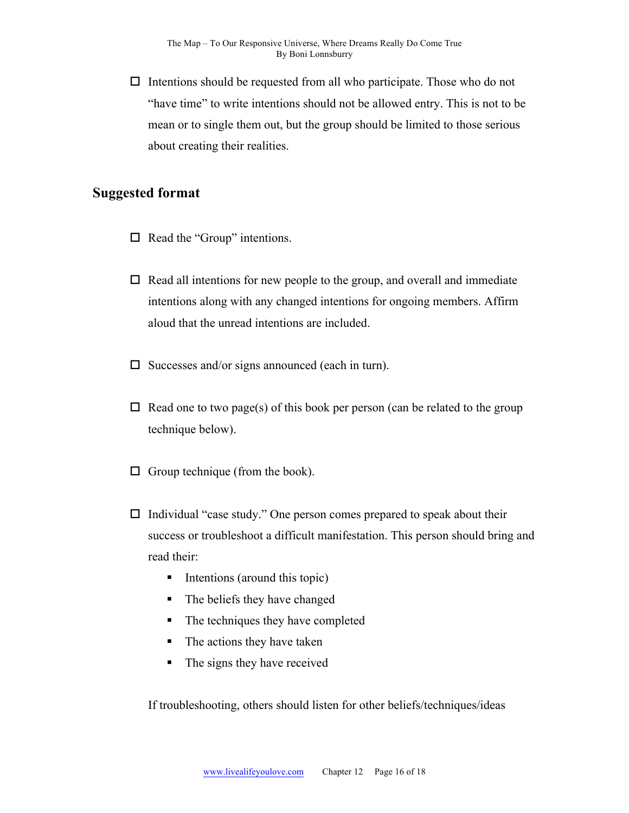$\Box$  Intentions should be requested from all who participate. Those who do not "have time" to write intentions should not be allowed entry. This is not to be mean or to single them out, but the group should be limited to those serious about creating their realities.

#### **Suggested format**

- $\Box$  Read the "Group" intentions.
- $\Box$  Read all intentions for new people to the group, and overall and immediate intentions along with any changed intentions for ongoing members. Affirm aloud that the unread intentions are included.
- $\square$  Successes and/or signs announced (each in turn).
- $\Box$  Read one to two page(s) of this book per person (can be related to the group technique below).
- $\Box$  Group technique (from the book).
- $\Box$  Individual "case study." One person comes prepared to speak about their success or troubleshoot a difficult manifestation. This person should bring and read their:
	- Intentions (around this topic)
	- The beliefs they have changed
	- The techniques they have completed
	- The actions they have taken
	- The signs they have received

If troubleshooting, others should listen for other beliefs/techniques/ideas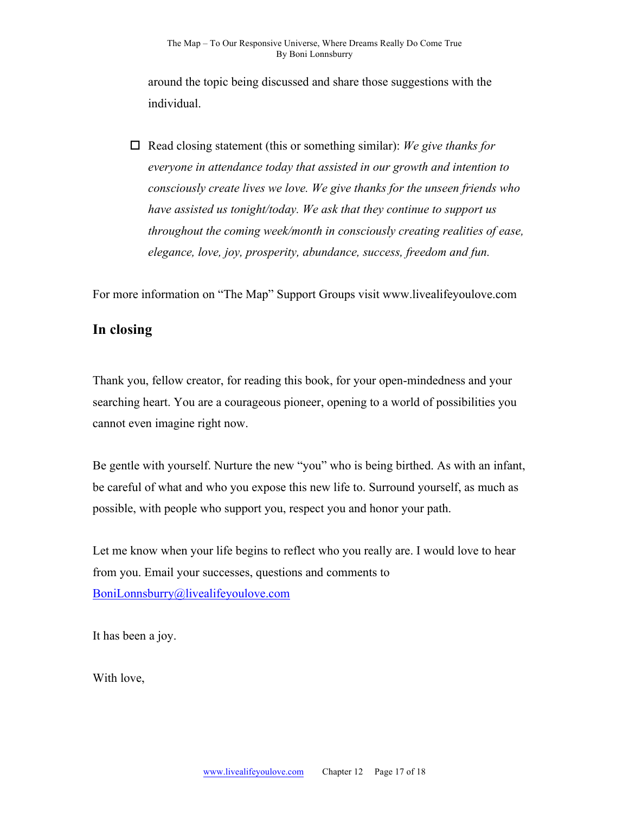around the topic being discussed and share those suggestions with the individual.

 $\Box$  Read closing statement (this or something similar): *We give thanks for everyone in attendance today that assisted in our growth and intention to consciously create lives we love. We give thanks for the unseen friends who have assisted us tonight/today. We ask that they continue to support us throughout the coming week/month in consciously creating realities of ease, elegance, love, joy, prosperity, abundance, success, freedom and fun.* 

For more information on "The Map" Support Groups visit www.livealifeyoulove.com

#### **In closing**

Thank you, fellow creator, for reading this book, for your open-mindedness and your searching heart. You are a courageous pioneer, opening to a world of possibilities you cannot even imagine right now.

Be gentle with yourself. Nurture the new "you" who is being birthed. As with an infant, be careful of what and who you expose this new life to. Surround yourself, as much as possible, with people who support you, respect you and honor your path.

Let me know when your life begins to reflect who you really are. I would love to hear from you. Email your successes, questions and comments to BoniLonnsburry@livealifeyoulove.com

It has been a joy.

With love,